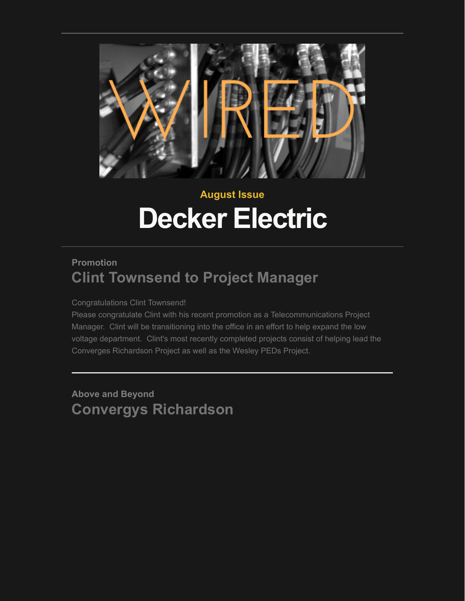

# **August Issue Decker Electric**

## **Promotion Clint Townsend to Project Manager**

Congratulations Clint Townsend!

Please congratulate Clint with his recent promotion as a Telecommunications Project Manager. Clint will be transitioning into the office in an effort to help expand the low voltage department. Clint's most recently completed projects consist of helping lead the Converges Richardson Project as well as the Wesley PEDs Project.

**Above and Beyond Convergys Richardson**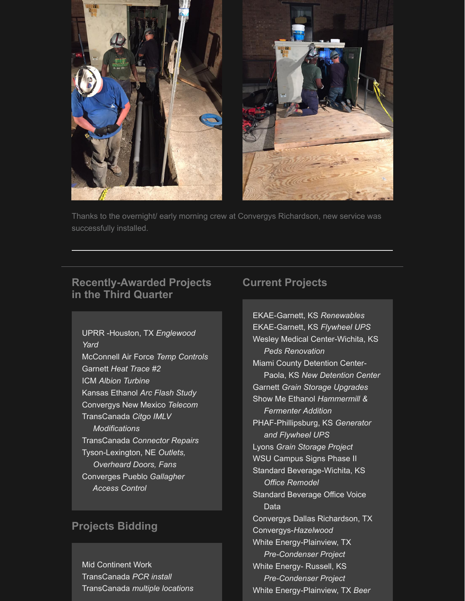

Thanks to the overnight/ early morning crew at Convergys Richardson, new service was successfully installed.

## **Recently-Awarded Projects in the Third Quarter**

UPRR -Houston, TX *Englewood Yard* McConnell Air Force *Temp Controls* Garnett *Heat Trace #2* ICM *Albion Turbine* Kansas Ethanol *Arc Flash Study* Convergys New Mexico *Telecom* TransCanada *Citgo IMLV Modifications* TransCanada *Connector Repairs* Tyson-Lexington, NE *Outlets, Overheard Doors, Fans* Converges Pueblo *Gallagher Access Control*

## **Projects Bidding**

Mid Continent Work TransCanada *PCR install* TransCanada *multiple locations*

## **Current Projects**

EKAE-Garnett, KS *Renewables* EKAE-Garnett, KS *Flywheel UPS* Wesley Medical Center-Wichita, KS *Peds Renovation* Miami County Detention Center- Paola, KS *New Detention Center* Garnett *Grain Storage Upgrades* Show Me Ethanol *Hammermill & Fermenter Addition* PHAF-Phillipsburg, KS *Generator and Flywheel UPS* Lyons *Grain Storage Project* WSU Campus Signs Phase II Standard Beverage-Wichita, KS  *Office Remodel* Standard Beverage Office Voice Data Convergys Dallas Richardson, TX Convergys-*Hazelwood* White Energy-Plainview, TX  *Pre-Condenser Project* White Energy- Russell, KS  *Pre-Condenser Project* White Energy-Plainview, TX *Beer*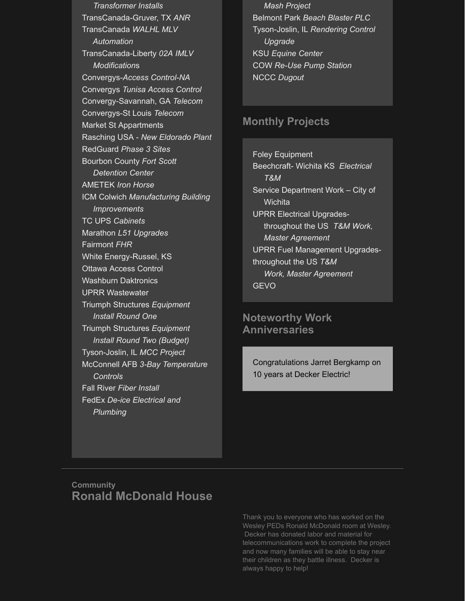*Transformer Installs* TransCanada-Gruver, TX *ANR* TransCanada *WALHL MLV Automation* TransCanada-Liberty *02A IMLV Modification*s Convergys-*Access Control-NA* Convergys *Tunisa Access Control* Convergy-Savannah, GA *Telecom* Convergys-St Louis *Telecom* Market St Appartments Rasching USA - *New Eldorado Plant* RedGuard *Phase 3 Sites* Bourbon County *Fort Scott Detention Center* AMETEK *Iron Horse* ICM Colwich *Manufacturing Building Improvements* TC UPS *Cabinets* Marathon *L51 Upgrades* Fairmont *FHR* White Energy-Russel, KS Ottawa Access Control Washburn Daktronics UPRR Wastewater Triumph Structures *Equipment Install Round One* Triumph Structures *Equipment Install Round Two (Budget)* Tyson-Joslin, IL *MCC Project* McConnell AFB *3-Bay Temperature Controls* Fall River *Fiber Install* FedEx *De-ice Electrical and Plumbing*

 *Mash Project* Belmont Park *Beach Blaster PLC* Tyson-Joslin, IL *Rendering Control Upgrade* KSU *Equine Center* COW *Re-Use Pump Station* NCCC *Dugout*

#### **Monthly Projects**

Foley Equipment Beechcraft- Wichita KS *Electrical T&M*  Service Department Work – City of **Wichita** UPRR Electrical Upgrades throughout the US *T&M Work, Master Agreement* UPRR Fuel Management Upgradesthroughout the US *T&M Work, Master Agreement* GEVO

## **Noteworthy Work Anniversaries**

Congratulations Jarret Bergkamp on 10 years at Decker Electric!

#### **Community Ronald McDonald House**

Thank you to everyone who has worked on the Wesley PEDs Ronald McDonald room at Wesley. Decker has donated labor and material for telecommunications work to complete the project and now many families will be able to stay near their children as they battle illness. Decker is always happy to help!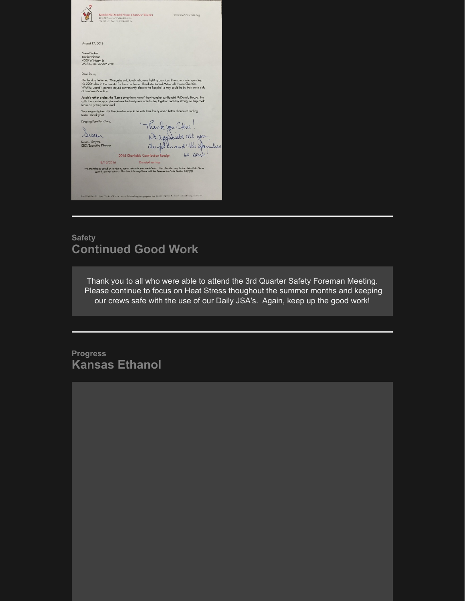| Ronald McDonald House Charities® Wichita<br>1110 N Emporis, Wichira KS 67214<br>316.269.4182 od 316.269.8665 fax                     | www.mnhcwichita.org                                                                                                                                                                                                        |  |
|--------------------------------------------------------------------------------------------------------------------------------------|----------------------------------------------------------------------------------------------------------------------------------------------------------------------------------------------------------------------------|--|
| August 17, 2016<br>Steve Decker<br>Decker Electric<br>4500 W Harry St                                                                |                                                                                                                                                                                                                            |  |
| Wichita, KS 67209-2736                                                                                                               |                                                                                                                                                                                                                            |  |
| Dear Steve.                                                                                                                          |                                                                                                                                                                                                                            |  |
| his 220th day in the hospital far from his hame. Thanks to Ronald McDonald House Charities<br>at a moment's nation.                  | On the day he turned 20 months ald, Jacob, who was fighting a serious illness, was also spending<br>Wichita, Jacob's parents stayed conveniently close to the hospital so they could be by their son's side                |  |
| focus on getting Jacob well.                                                                                                         | Jacob's father praises the "home away from home" they found at our Ronald McDonald House. He<br>calls it a sanctuary, a place where the family was able to stay together and stay strong, so they could                    |  |
| Your support gives kids like Jacob a way to be with their family and a better chance at healing<br>faster. Thank you!                |                                                                                                                                                                                                                            |  |
| Keeping Families Close,                                                                                                              | Thank you Steve!                                                                                                                                                                                                           |  |
|                                                                                                                                      | We approved all you                                                                                                                                                                                                        |  |
| Susan J Smythe<br>CEO/Executive Director                                                                                             | do folks and the familie                                                                                                                                                                                                   |  |
|                                                                                                                                      | Lie servie<br>2016 Charitable Contribution Receipt                                                                                                                                                                         |  |
| 8/15/2016                                                                                                                            | <b>Donated</b> services                                                                                                                                                                                                    |  |
|                                                                                                                                      | We provided no goods or services to you in return for your contribution. Your donation may be tax-deolectible. Please<br>consult your tax advisor. This form is in compliance with the Revenue Act Code Section 170(1)(8). |  |
| Rotald McDonald Huae Charines Wachta creates, firsk and supports programs that directly imports the holds and wall being of children |                                                                                                                                                                                                                            |  |
|                                                                                                                                      |                                                                                                                                                                                                                            |  |

## **Safety Continued Good Work**

Thank you to all who were able to attend the 3rd Quarter Safety Foreman Meeting. Please continue to focus on Heat Stress thoughout the summer months and keeping our crews safe with the use of our Daily JSA's. Again, keep up the good work!

**Progress Kansas Ethanol**